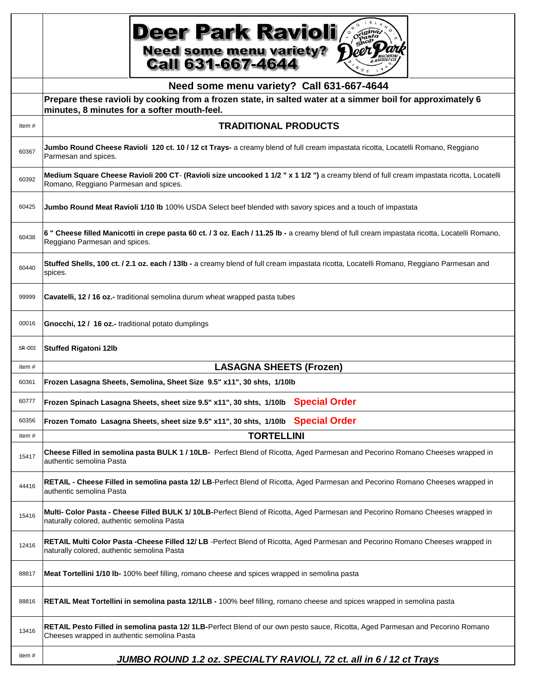|        | <b>Deer Park Ravioli</b><br><b>Need some menu variety?</b><br><b>Call 631-667-4644</b>                                                                                            |
|--------|-----------------------------------------------------------------------------------------------------------------------------------------------------------------------------------|
|        | Need some menu variety? Call 631-667-4644                                                                                                                                         |
|        | Prepare these ravioli by cooking from a frozen state, in salted water at a simmer boil for approximately 6<br>minutes, 8 minutes for a softer mouth-feel.                         |
| item#  | <b>TRADITIONAL PRODUCTS</b>                                                                                                                                                       |
| 60367  | Jumbo Round Cheese Ravioli 120 ct. 10 / 12 ct Trays- a creamy blend of full cream impastata ricotta, Locatelli Romano, Reggiano<br>Parmesan and spices.                           |
| 60392  | Medium Square Cheese Ravioli 200 CT- (Ravioli size uncooked 1 1/2 " x 1 1/2 ") a creamy blend of full cream impastata ricotta, Locatelli<br>Romano, Reggiano Parmesan and spices. |
| 60425  | Jumbo Round Meat Ravioli 1/10 Ib 100% USDA Select beef blended with savory spices and a touch of impastata                                                                        |
| 60438  | 6 " Cheese filled Manicotti in crepe pasta 60 ct. / 3 oz. Each / 11.25 lb - a creamy blend of full cream impastata ricotta, Locatelli Romano,<br>Reggiano Parmesan and spices.    |
| 60440  | Stuffed Shells, 100 ct. / 2.1 oz. each / 13lb - a creamy blend of full cream impastata ricotta, Locatelli Romano, Reggiano Parmesan and<br>spices.                                |
| 99999  | Cavatelli, 12 / 16 oz.- traditional semolina durum wheat wrapped pasta tubes                                                                                                      |
| 00016  | <b>Gnocchi, 12 / 16 oz.-</b> traditional potato dumplings                                                                                                                         |
| SR-001 | <b>Stuffed Rigatoni 12lb</b>                                                                                                                                                      |
| item#  | <b>LASAGNA SHEETS (Frozen)</b>                                                                                                                                                    |
| 60361  | Frozen Lasagna Sheets, Semolina, Sheet Size 9.5" x11", 30 shts, 1/10lb                                                                                                            |
| 60777  | Frozen Spinach Lasagna Sheets, sheet size 9.5" x11", 30 shts, 1/10lb Special Order                                                                                                |
| 60356  | Frozen Tomato Lasagna Sheets, sheet size 9.5" x11", 30 shts, 1/10lb Special Order                                                                                                 |
| item#  | <b>TORTELLINI</b>                                                                                                                                                                 |
| 15417  | Cheese Filled in semolina pasta BULK 1 / 10LB- Perfect Blend of Ricotta, Aged Parmesan and Pecorino Romano Cheeses wrapped in<br>authentic semolina Pasta                         |
| 44416  | RETAIL - Cheese Filled in semolina pasta 12/LB-Perfect Blend of Ricotta, Aged Parmesan and Pecorino Romano Cheeses wrapped in<br>authentic semolina Pasta                         |
| 15416  | Multi- Color Pasta - Cheese Filled BULK 1/10LB-Perfect Blend of Ricotta, Aged Parmesan and Pecorino Romano Cheeses wrapped in<br>naturally colored, authentic semolina Pasta      |
| 12416  | RETAIL Multi Color Pasta -Cheese Filled 12/ LB -Perfect Blend of Ricotta, Aged Parmesan and Pecorino Romano Cheeses wrapped in<br>naturally colored, authentic semolina Pasta     |
| 88817  | Meat Tortellini 1/10 lb-100% beef filling, romano cheese and spices wrapped in semolina pasta                                                                                     |
| 88816  | RETAIL Meat Tortellini in semolina pasta 12/1LB - 100% beef filling, romano cheese and spices wrapped in semolina pasta                                                           |
| 13416  | RETAIL Pesto Filled in semolina pasta 12/1LB-Perfect Blend of our own pesto sauce, Ricotta, Aged Parmesan and Pecorino Romano<br>Cheeses wrapped in authentic semolina Pasta      |
| item#  | JUMBO ROUND 1.2 oz. SPECIALTY RAVIOLI, 72 ct. all in 6 / 12 ct Trays                                                                                                              |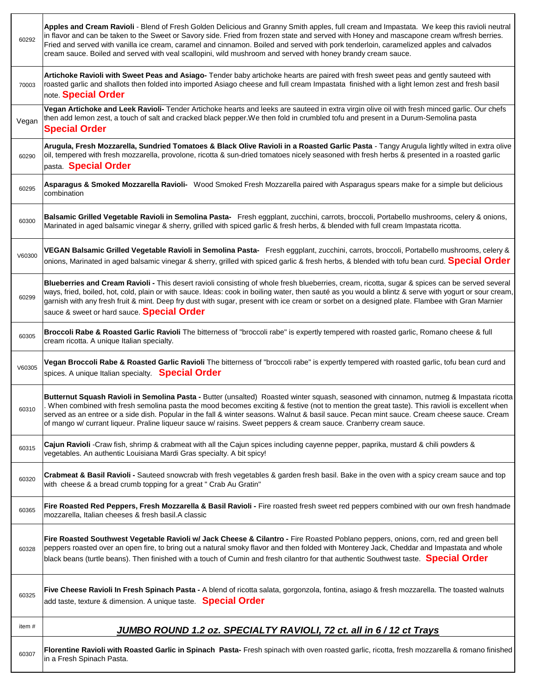| 60307  | Florentine Ravioli with Roasted Garlic in Spinach Pasta- Fresh spinach with oven roasted garlic, ricotta, fresh mozzarella & romano finished<br>in a Fresh Spinach Pasta.                                                                                                                                                                                                                                                                                                                                                                                     |
|--------|---------------------------------------------------------------------------------------------------------------------------------------------------------------------------------------------------------------------------------------------------------------------------------------------------------------------------------------------------------------------------------------------------------------------------------------------------------------------------------------------------------------------------------------------------------------|
| item#  | JUMBO ROUND 1.2 oz. SPECIALTY RAVIOLI, 72 ct. all in 6 / 12 ct Trays                                                                                                                                                                                                                                                                                                                                                                                                                                                                                          |
| 60325  | Five Cheese Ravioli In Fresh Spinach Pasta - A blend of ricotta salata, gorgonzola, fontina, asiago & fresh mozzarella. The toasted walnuts<br>add taste, texture & dimension. A unique taste. Special Order                                                                                                                                                                                                                                                                                                                                                  |
| 60328  | Fire Roasted Southwest Vegetable Ravioli w/ Jack Cheese & Cilantro - Fire Roasted Poblano peppers, onions, corn, red and green bell<br>peppers roasted over an open fire, to bring out a natural smoky flavor and then folded with Monterey Jack, Cheddar and Impastata and whole<br>black beans (turtle beans). Then finished with a touch of Cumin and fresh cilantro for that authentic Southwest taste. Special Order                                                                                                                                     |
| 60365  | Fire Roasted Red Peppers, Fresh Mozzarella & Basil Ravioli - Fire roasted fresh sweet red peppers combined with our own fresh handmade<br>mozzarella, Italian cheeses & fresh basil.A classic                                                                                                                                                                                                                                                                                                                                                                 |
| 60320  | Crabmeat & Basil Ravioli - Sauteed snowcrab with fresh vegetables & garden fresh basil. Bake in the oven with a spicy cream sauce and top<br>with cheese & a bread crumb topping for a great " Crab Au Gratin"                                                                                                                                                                                                                                                                                                                                                |
| 60315  | Cajun Ravioli -Craw fish, shrimp & crabmeat with all the Cajun spices including cayenne pepper, paprika, mustard & chili powders &<br>vegetables. An authentic Louisiana Mardi Gras specialty. A bit spicy!                                                                                                                                                                                                                                                                                                                                                   |
| 60310  | Butternut Squash Ravioli in Semolina Pasta - Butter (unsalted) Roasted winter squash, seasoned with cinnamon, nutmeg & Impastata ricotta<br>When combined with fresh semolina pasta the mood becomes exciting & festive (not to mention the great taste). This ravioli is excellent when<br>served as an entree or a side dish. Popular in the fall & winter seasons. Walnut & basil sauce. Pecan mint sauce. Cream cheese sauce. Cream<br>of mango w/ currant liqueur. Praline liqueur sauce w/ raisins. Sweet peppers & cream sauce. Cranberry cream sauce. |
| V60305 | Vegan Broccoli Rabe & Roasted Garlic Ravioli The bitterness of "broccoli rabe" is expertly tempered with roasted garlic, tofu bean curd and<br>spices. A unique Italian specialty. Special Order                                                                                                                                                                                                                                                                                                                                                              |
| 60305  | Broccoli Rabe & Roasted Garlic Ravioli The bitterness of "broccoli rabe" is expertly tempered with roasted garlic, Romano cheese & full<br>cream ricotta. A unique Italian specialty.                                                                                                                                                                                                                                                                                                                                                                         |
| 60299  | Blueberries and Cream Ravioli - This desert ravioli consisting of whole fresh blueberries, cream, ricotta, sugar & spices can be served several<br>ways, fried, boiled, hot, cold, plain or with sauce. Ideas: cook in boiling water, then sauté as you would a blintz & serve with yogurt or sour cream,<br>garnish with any fresh fruit & mint. Deep fry dust with sugar, present with ice cream or sorbet on a designed plate. Flambee with Gran Marnier<br>sauce & sweet or hard sauce. Special Order                                                     |
| V60300 | VEGAN Balsamic Grilled Vegetable Ravioli in Semolina Pasta- Fresh eggplant, zucchini, carrots, broccoli, Portabello mushrooms, celery &<br>onions, Marinated in aged balsamic vinegar & sherry, grilled with spiced garlic & fresh herbs, & blended with tofu bean curd. Special Order                                                                                                                                                                                                                                                                        |
| 60300  | Balsamic Grilled Vegetable Ravioli in Semolina Pasta- Fresh eggplant, zucchini, carrots, broccoli, Portabello mushrooms, celery & onions,<br>Marinated in aged balsamic vinegar & sherry, grilled with spiced garlic & fresh herbs, & blended with full cream Impastata ricotta.                                                                                                                                                                                                                                                                              |
| 60295  | Asparagus & Smoked Mozzarella Ravioli- Wood Smoked Fresh Mozzarella paired with Asparagus spears make for a simple but delicious<br>combination                                                                                                                                                                                                                                                                                                                                                                                                               |
| 60290  | Arugula, Fresh Mozzarella, Sundried Tomatoes & Black Olive Ravioli in a Roasted Garlic Pasta - Tangy Arugula lightly wilted in extra olive<br>oil, tempered with fresh mozzarella, provolone, ricotta & sun-dried tomatoes nicely seasoned with fresh herbs & presented in a roasted garlic<br>pasta Special Order                                                                                                                                                                                                                                            |
| Vegan  | Vegan Artichoke and Leek Ravioli- Tender Artichoke hearts and leeks are sauteed in extra virgin olive oil with fresh minced garlic. Our chefs<br>then add lemon zest, a touch of salt and cracked black pepper. We then fold in crumbled tofu and present in a Durum-Semolina pasta<br><b>Special Order</b>                                                                                                                                                                                                                                                   |
| 70003  | Artichoke Ravioli with Sweet Peas and Asiago- Tender baby artichoke hearts are paired with fresh sweet peas and gently sauteed with<br>roasted garlic and shallots then folded into imported Asiago cheese and full cream Impastata finished with a light lemon zest and fresh basil<br>note. Special Order                                                                                                                                                                                                                                                   |
| 60292  | Apples and Cream Ravioli - Blend of Fresh Golden Delicious and Granny Smith apples, full cream and Impastata. We keep this ravioli neutral<br>in flavor and can be taken to the Sweet or Savory side. Fried from frozen state and served with Honey and mascapone cream w/fresh berries.<br>Fried and served with vanilla ice cream, caramel and cinnamon. Boiled and served with pork tenderloin, caramelized apples and calvados<br>cream sauce. Boiled and served with veal scallopini, wild mushroom and served with honey brandy cream sauce.            |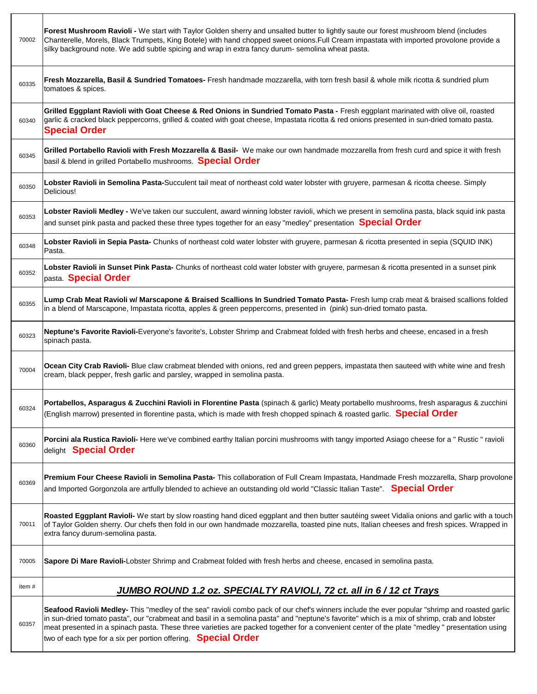| 70002 | Forest Mushroom Ravioli - We start with Taylor Golden sherry and unsalted butter to lightly saute our forest mushroom blend (includes<br>Chanterelle, Morels, Black Trumpets, King Botele) with hand chopped sweet onions. Full Cream impastata with imported provolone provide a<br>silky background note. We add subtle spicing and wrap in extra fancy durum- semolina wheat pasta.                                                                                                                           |
|-------|------------------------------------------------------------------------------------------------------------------------------------------------------------------------------------------------------------------------------------------------------------------------------------------------------------------------------------------------------------------------------------------------------------------------------------------------------------------------------------------------------------------|
| 60335 | Fresh Mozzarella, Basil & Sundried Tomatoes- Fresh handmade mozzarella, with torn fresh basil & whole milk ricotta & sundried plum<br>tomatoes & spices.                                                                                                                                                                                                                                                                                                                                                         |
| 60340 | Grilled Eggplant Ravioli with Goat Cheese & Red Onions in Sundried Tomato Pasta - Fresh eggplant marinated with olive oil, roasted<br>garlic & cracked black peppercorns, grilled & coated with goat cheese, Impastata ricotta & red onions presented in sun-dried tomato pasta.<br><b>Special Order</b>                                                                                                                                                                                                         |
| 60345 | Grilled Portabello Ravioli with Fresh Mozzarella & Basil- We make our own handmade mozzarella from fresh curd and spice it with fresh<br>basil & blend in grilled Portabello mushrooms. Special Order                                                                                                                                                                                                                                                                                                            |
| 60350 | Lobster Ravioli in Semolina Pasta-Succulent tail meat of northeast cold water lobster with gruyere, parmesan & ricotta cheese. Simply<br>Delicious!                                                                                                                                                                                                                                                                                                                                                              |
| 60353 | Lobster Ravioli Medley - We've taken our succulent, award winning lobster ravioli, which we present in semolina pasta, black squid ink pasta<br>and sunset pink pasta and packed these three types together for an easy "medley" presentation <b>Special Order</b>                                                                                                                                                                                                                                               |
| 60348 | Lobster Ravioli in Sepia Pasta- Chunks of northeast cold water lobster with gruyere, parmesan & ricotta presented in sepia (SQUID INK)<br>Pasta.                                                                                                                                                                                                                                                                                                                                                                 |
| 60352 | Lobster Ravioli in Sunset Pink Pasta- Chunks of northeast cold water lobster with gruyere, parmesan & ricotta presented in a sunset pink<br>pasta Special Order                                                                                                                                                                                                                                                                                                                                                  |
| 60355 | Lump Crab Meat Ravioli w/ Marscapone & Braised Scallions In Sundried Tomato Pasta- Fresh lump crab meat & braised scallions folded<br>in a blend of Marscapone, Impastata ricotta, apples & green peppercorns, presented in (pink) sun-dried tomato pasta.                                                                                                                                                                                                                                                       |
| 60323 | Neptune's Favorite Ravioli-Everyone's favorite's, Lobster Shrimp and Crabmeat folded with fresh herbs and cheese, encased in a fresh<br>spinach pasta.                                                                                                                                                                                                                                                                                                                                                           |
| 70004 | Ocean City Crab Ravioli- Blue claw crabmeat blended with onions, red and green peppers, impastata then sauteed with white wine and fresh<br>cream, black pepper, fresh garlic and parsley, wrapped in semolina pasta.                                                                                                                                                                                                                                                                                            |
| 60324 | Portabellos, Asparagus & Zucchini Ravioli in Florentine Pasta (spinach & garlic) Meaty portabello mushrooms, fresh asparagus & zucchini<br>(English marrow) presented in florentine pasta, which is made with fresh chopped spinach & roasted garlic. Special Order                                                                                                                                                                                                                                              |
| 60360 | Porcini ala Rustica Ravioli- Here we've combined earthy Italian porcini mushrooms with tangy imported Asiago cheese for a " Rustic " ravioli<br>delight Special Order                                                                                                                                                                                                                                                                                                                                            |
| 60369 | Premium Four Cheese Ravioli in Semolina Pasta- This collaboration of Full Cream Impastata, Handmade Fresh mozzarella, Sharp provolone<br>and Imported Gorgonzola are artfully blended to achieve an outstanding old world "Classic Italian Taste". Special Order                                                                                                                                                                                                                                                 |
| 70011 | Roasted Eggplant Ravioli- We start by slow roasting hand diced eggplant and then butter sautéing sweet Vidalia onions and garlic with a touch<br>of Taylor Golden sherry. Our chefs then fold in our own handmade mozzarella, toasted pine nuts, Italian cheeses and fresh spices. Wrapped in<br>extra fancy durum-semolina pasta.                                                                                                                                                                               |
| 70005 | Sapore Di Mare Ravioli-Lobster Shrimp and Crabmeat folded with fresh herbs and cheese, encased in semolina pasta.                                                                                                                                                                                                                                                                                                                                                                                                |
| item# | <b>JUMBO ROUND 1.2 oz. SPECIALTY RAVIOLI, 72 ct. all in 6 / 12 ct Trays</b>                                                                                                                                                                                                                                                                                                                                                                                                                                      |
| 60357 | Seafood Ravioli Medley- This "medley of the sea" ravioli combo pack of our chef's winners include the ever popular "shrimp and roasted garlic<br>in sun-dried tomato pasta", our "crabmeat and basil in a semolina pasta" and "neptune's favorite" which is a mix of shrimp, crab and lobster<br>meat presented in a spinach pasta. These three varieties are packed together for a convenient center of the plate "medley" presentation using<br>two of each type for a six per portion offering. Special Order |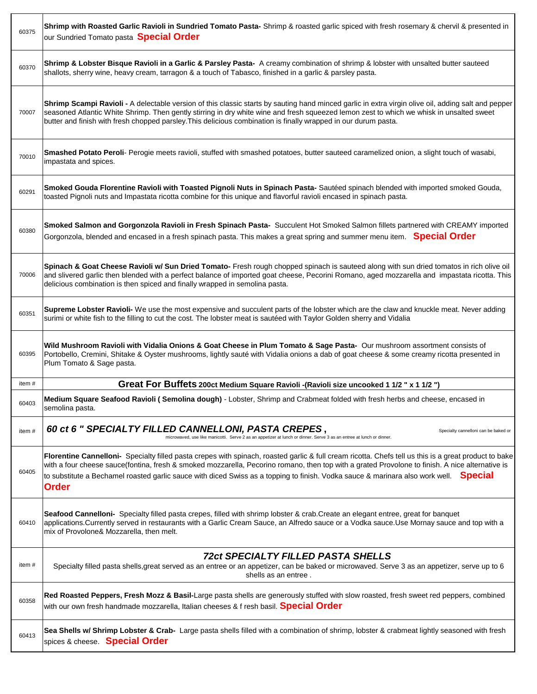| 60375 | Shrimp with Roasted Garlic Ravioli in Sundried Tomato Pasta- Shrimp & roasted garlic spiced with fresh rosemary & chervil & presented in<br>our Sundried Tomato pasta Special Order                                                                                                                                                                                                                                                                        |
|-------|------------------------------------------------------------------------------------------------------------------------------------------------------------------------------------------------------------------------------------------------------------------------------------------------------------------------------------------------------------------------------------------------------------------------------------------------------------|
| 60370 | Shrimp & Lobster Bisque Ravioli in a Garlic & Parsley Pasta- A creamy combination of shrimp & lobster with unsalted butter sauteed<br>shallots, sherry wine, heavy cream, tarragon & a touch of Tabasco, finished in a garlic & parsley pasta.                                                                                                                                                                                                             |
| 70007 | Shrimp Scampi Ravioli - A delectable version of this classic starts by sauting hand minced garlic in extra virgin olive oil, adding salt and pepper<br>seasoned Atlantic White Shrimp. Then gently stirring in dry white wine and fresh squeezed lemon zest to which we whisk in unsalted sweet<br>butter and finish with fresh chopped parsley. This delicious combination is finally wrapped in our durum pasta.                                         |
| 70010 | Smashed Potato Peroli- Perogie meets ravioli, stuffed with smashed potatoes, butter sauteed caramelized onion, a slight touch of wasabi,<br>impastata and spices.                                                                                                                                                                                                                                                                                          |
| 60291 | Smoked Gouda Florentine Ravioli with Toasted Pignoli Nuts in Spinach Pasta- Sautéed spinach blended with imported smoked Gouda,<br>toasted Pignoli nuts and Impastata ricotta combine for this unique and flavorful ravioli encased in spinach pasta.                                                                                                                                                                                                      |
| 60380 | Smoked Salmon and Gorgonzola Ravioli in Fresh Spinach Pasta- Succulent Hot Smoked Salmon fillets partnered with CREAMY imported<br>Gorgonzola, blended and encased in a fresh spinach pasta. This makes a great spring and summer menu item. Special Order                                                                                                                                                                                                 |
| 70006 | Spinach & Goat Cheese Ravioli w/ Sun Dried Tomato- Fresh rough chopped spinach is sauteed along with sun dried tomatos in rich olive oil<br>and slivered garlic then blended with a perfect balance of imported goat cheese, Pecorini Romano, aged mozzarella and impastata ricotta. This<br>delicious combination is then spiced and finally wrapped in semolina pasta.                                                                                   |
| 60351 | Supreme Lobster Ravioli- We use the most expensive and succulent parts of the lobster which are the claw and knuckle meat. Never adding<br>surimi or white fish to the filling to cut the cost. The lobster meat is sautéed with Taylor Golden sherry and Vidalia                                                                                                                                                                                          |
| 60395 | Wild Mushroom Ravioli with Vidalia Onions & Goat Cheese in Plum Tomato & Sage Pasta- Our mushroom assortment consists of<br>Portobello, Cremini, Shitake & Oyster mushrooms, lightly sauté with Vidalia onions a dab of goat cheese & some creamy ricotta presented in<br>Plum Tomato & Sage pasta.                                                                                                                                                        |
| item# | Great For Buffets 200ct Medium Square Ravioli -(Ravioli size uncooked 1 1/2 " x 1 1/2 ")                                                                                                                                                                                                                                                                                                                                                                   |
| 60403 | Medium Square Seafood Ravioli (Semolina dough) - Lobster, Shrimp and Crabmeat folded with fresh herbs and cheese, encased in<br>semolina pasta.                                                                                                                                                                                                                                                                                                            |
| item# | 60 ct 6 " SPECIALTY FILLED CANNELLONI, PASTA CREPES,<br>Specialty cannelloni can be baked or<br>microwaved, use like manicotti. Serve 2 as an appetizer at lunch or dinner. Serve 3 as an entree at lunch or dinner.                                                                                                                                                                                                                                       |
| 60405 | Florentine Cannelloni- Specialty filled pasta crepes with spinach, roasted garlic & full cream ricotta. Chefs tell us this is a great product to bake<br>with a four cheese sauce(fontina, fresh & smoked mozzarella, Pecorino romano, then top with a grated Provolone to finish. A nice alternative is<br>to substitute a Bechamel roasted garlic sauce with diced Swiss as a topping to finish. Vodka sauce & marinara also work well. Special<br>Order |
| 60410 | Seafood Cannelloni- Specialty filled pasta crepes, filled with shrimp lobster & crab. Create an elegant entree, great for banquet<br>applications.Currently served in restaurants with a Garlic Cream Sauce, an Alfredo sauce or a Vodka sauce.Use Mornay sauce and top with a<br>mix of Provolone& Mozzarella, then melt.                                                                                                                                 |
| item# | <b>72ct SPECIALTY FILLED PASTA SHELLS</b><br>Specialty filled pasta shells, great served as an entree or an appetizer, can be baked or microwaved. Serve 3 as an appetizer, serve up to 6<br>shells as an entree                                                                                                                                                                                                                                           |
| 60358 | Red Roasted Peppers, Fresh Mozz & Basil-Large pasta shells are generously stuffed with slow roasted, fresh sweet red peppers, combined<br>with our own fresh handmade mozzarella, Italian cheeses & f resh basil. Special Order                                                                                                                                                                                                                            |
| 60413 | Sea Shells w/ Shrimp Lobster & Crab- Large pasta shells filled with a combination of shrimp, lobster & crabmeat lightly seasoned with fresh<br>spices & cheese. Special Order                                                                                                                                                                                                                                                                              |